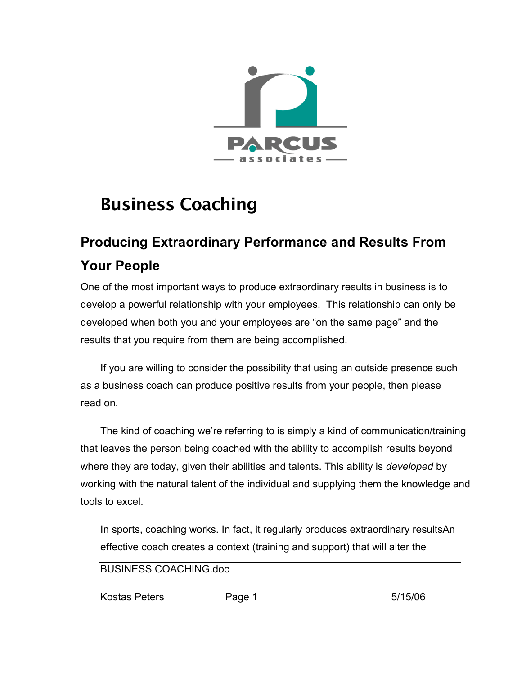

## Business Coaching

## **Producing Extraordinary Performance and Results From Your People**

One of the most important ways to produce extraordinary results in business is to develop a powerful relationship with your employees. This relationship can only be developed when both you and your employees are "on the same page" and the results that you require from them are being accomplished.

If you are willing to consider the possibility that using an outside presence such as a business coach can produce positive results from your people, then please read on.

The kind of coaching we're referring to is simply a kind of communication/training that leaves the person being coached with the ability to accomplish results beyond where they are today, given their abilities and talents. This ability is *developed* by working with the natural talent of the individual and supplying them the knowledge and tools to excel.

In sports, coaching works. In fact, it regularly produces extraordinary resultsAn effective coach creates a context (training and support) that will alter the

BUSINESS COACHING.doc

Kostas Peters **Page 1** 5/15/06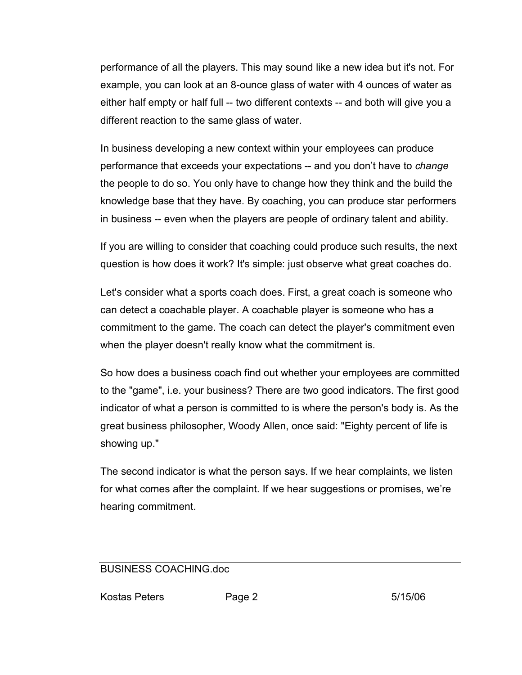performance of all the players. This may sound like a new idea but it's not. For example, you can look at an 8-ounce glass of water with 4 ounces of water as either half empty or half full -- two different contexts -- and both will give you a different reaction to the same glass of water.

In business developing a new context within your employees can produce performance that exceeds your expectations -- and you don't have to *change* the people to do so. You only have to change how they think and the build the knowledge base that they have. By coaching, you can produce star performers in business -- even when the players are people of ordinary talent and ability.

If you are willing to consider that coaching could produce such results, the next question is how does it work? It's simple: just observe what great coaches do.

Let's consider what a sports coach does. First, a great coach is someone who can detect a coachable player. A coachable player is someone who has a commitment to the game. The coach can detect the player's commitment even when the player doesn't really know what the commitment is.

So how does a business coach find out whether your employees are committed to the "game", i.e. your business? There are two good indicators. The first good indicator of what a person is committed to is where the person's body is. As the great business philosopher, Woody Allen, once said: "Eighty percent of life is showing up."

The second indicator is what the person says. If we hear complaints, we listen for what comes after the complaint. If we hear suggestions or promises, we're hearing commitment.

## BUSINESS COACHING.doc

Kostas Peters **Page 2** 5/15/06